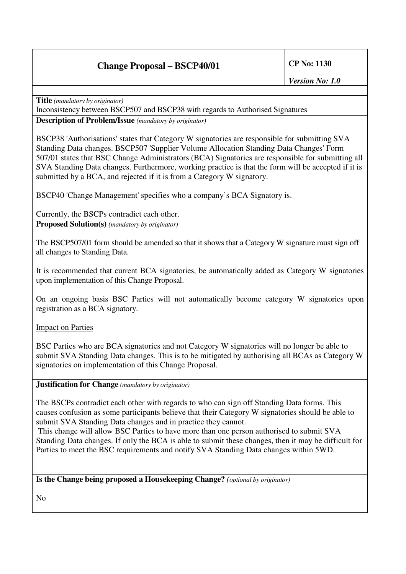# **Change Proposal – BSCP40/01 CP No: 1130**

**Title** *(mandatory by originator)* Inconsistency between BSCP507 and BSCP38 with regards to Authorised Signatures

**Description of Problem/Issue** *(mandatory by originator)*

BSCP38 'Authorisations' states that Category W signatories are responsible for submitting SVA Standing Data changes. BSCP507 'Supplier Volume Allocation Standing Data Changes' Form 507/01 states that BSC Change Administrators (BCA) Signatories are responsible for submitting all SVA Standing Data changes. Furthermore, working practice is that the form will be accepted if it is submitted by a BCA, and rejected if it is from a Category W signatory.

BSCP40 'Change Management' specifies who a company's BCA Signatory is.

### Currently, the BSCPs contradict each other.

**Proposed Solution(s)** *(mandatory by originator)*

The BSCP507/01 form should be amended so that it shows that a Category W signature must sign off all changes to Standing Data.

It is recommended that current BCA signatories, be automatically added as Category W signatories upon implementation of this Change Proposal.

On an ongoing basis BSC Parties will not automatically become category W signatories upon registration as a BCA signatory.

Impact on Parties

BSC Parties who are BCA signatories and not Category W signatories will no longer be able to submit SVA Standing Data changes. This is to be mitigated by authorising all BCAs as Category W signatories on implementation of this Change Proposal.

### **Justification for Change** *(mandatory by originator)*

The BSCPs contradict each other with regards to who can sign off Standing Data forms. This causes confusion as some participants believe that their Category W signatories should be able to submit SVA Standing Data changes and in practice they cannot.

This change will allow BSC Parties to have more than one person authorised to submit SVA Standing Data changes. If only the BCA is able to submit these changes, then it may be difficult for Parties to meet the BSC requirements and notify SVA Standing Data changes within 5WD.

### **Is the Change being proposed a Housekeeping Change?** *(optional by originator)*

No